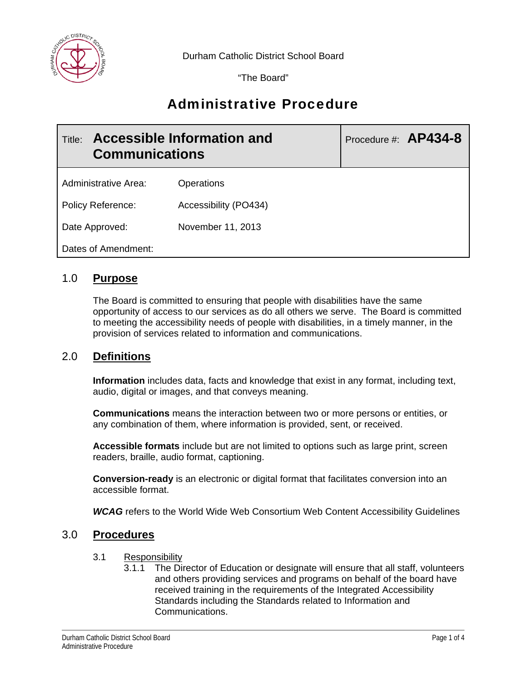

Durham Catholic District School Board

"The Board"

# Administrative Procedure

| Accessible Information and<br>Title:<br><b>Communications</b> |                       | Procedure #: $AP434-8$ |
|---------------------------------------------------------------|-----------------------|------------------------|
| Administrative Area:                                          | Operations            |                        |
| <b>Policy Reference:</b>                                      | Accessibility (PO434) |                        |
| Date Approved:                                                | November 11, 2013     |                        |
| Dates of Amendment:                                           |                       |                        |

## 1.0 **Purpose**

The Board is committed to ensuring that people with disabilities have the same opportunity of access to our services as do all others we serve. The Board is committed to meeting the accessibility needs of people with disabilities, in a timely manner, in the provision of services related to information and communications.

## 2.0 **Definitions**

**Information** includes data, facts and knowledge that exist in any format, including text, audio, digital or images, and that conveys meaning.

**Communications** means the interaction between two or more persons or entities, or any combination of them, where information is provided, sent, or received.

**Accessible formats** include but are not limited to options such as large print, screen readers, braille, audio format, captioning.

**Conversion-ready** is an electronic or digital format that facilitates conversion into an accessible format.

*WCAG* refers to the World Wide Web Consortium Web Content Accessibility Guidelines

#### 3.0 **Procedures**

- 3.1 Responsibility
	- 3.1.1 The Director of Education or designate will ensure that all staff, volunteers and others providing services and programs on behalf of the board have received training in the requirements of the Integrated Accessibility Standards including the Standards related to Information and Communications.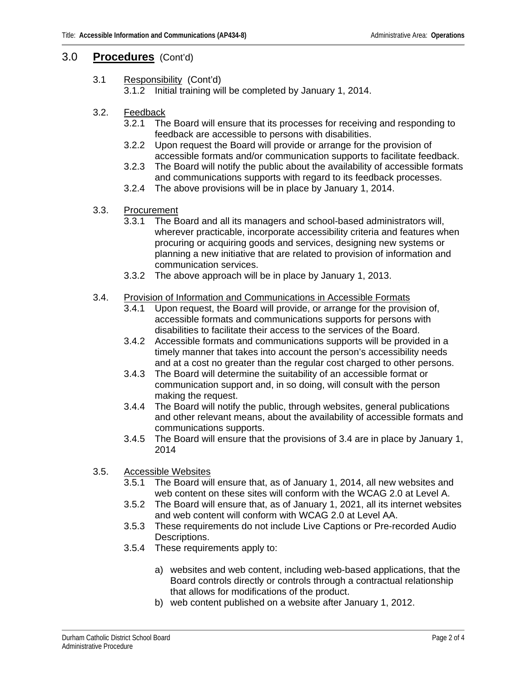## 3.0 **Procedures** (Cont'd)

3.1 Responsibility (Cont'd)

3.1.2 Initial training will be completed by January 1, 2014.

- 3.2. Feedback
	- 3.2.1 The Board will ensure that its processes for receiving and responding to feedback are accessible to persons with disabilities.
	- 3.2.2 Upon request the Board will provide or arrange for the provision of accessible formats and/or communication supports to facilitate feedback.
	- 3.2.3 The Board will notify the public about the availability of accessible formats and communications supports with regard to its feedback processes.
	- 3.2.4 The above provisions will be in place by January 1, 2014.
- 3.3. Procurement
	- 3.3.1 The Board and all its managers and school-based administrators will, wherever practicable, incorporate accessibility criteria and features when procuring or acquiring goods and services, designing new systems or planning a new initiative that are related to provision of information and communication services.
	- 3.3.2 The above approach will be in place by January 1, 2013.

#### 3.4. Provision of Information and Communications in Accessible Formats

- 3.4.1 Upon request, the Board will provide, or arrange for the provision of, accessible formats and communications supports for persons with disabilities to facilitate their access to the services of the Board.
- 3.4.2 Accessible formats and communications supports will be provided in a timely manner that takes into account the person's accessibility needs and at a cost no greater than the regular cost charged to other persons.
- 3.4.3 The Board will determine the suitability of an accessible format or communication support and, in so doing, will consult with the person making the request.
- 3.4.4 The Board will notify the public, through websites, general publications and other relevant means, about the availability of accessible formats and communications supports.
- 3.4.5 The Board will ensure that the provisions of 3.4 are in place by January 1, 2014
- 3.5. Accessible Websites
	- 3.5.1 The Board will ensure that, as of January 1, 2014, all new websites and web content on these sites will conform with the WCAG 2.0 at Level A.
	- 3.5.2 The Board will ensure that, as of January 1, 2021, all its internet websites and web content will conform with WCAG 2.0 at Level AA.
	- 3.5.3 These requirements do not include Live Captions or Pre-recorded Audio Descriptions.
	- 3.5.4 These requirements apply to:
		- a) websites and web content, including web-based applications, that the Board controls directly or controls through a contractual relationship that allows for modifications of the product.
		- b) web content published on a website after January 1, 2012.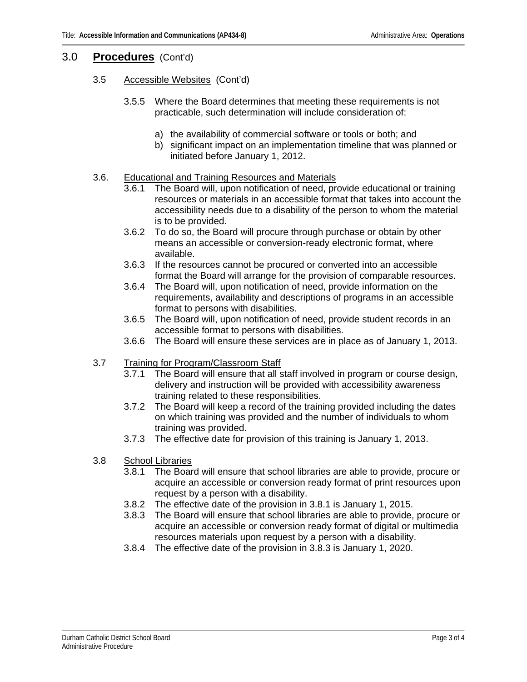#### 3.0 **Procedures** (Cont'd)

#### 3.5 Accessible Websites (Cont'd)

- 3.5.5 Where the Board determines that meeting these requirements is not practicable, such determination will include consideration of:
	- a) the availability of commercial software or tools or both; and
	- b) significant impact on an implementation timeline that was planned or initiated before January 1, 2012.

#### 3.6. Educational and Training Resources and Materials

- 3.6.1 The Board will, upon notification of need, provide educational or training resources or materials in an accessible format that takes into account the accessibility needs due to a disability of the person to whom the material is to be provided.
- 3.6.2 To do so, the Board will procure through purchase or obtain by other means an accessible or conversion-ready electronic format, where available.
- 3.6.3 If the resources cannot be procured or converted into an accessible format the Board will arrange for the provision of comparable resources.
- 3.6.4 The Board will, upon notification of need, provide information on the requirements, availability and descriptions of programs in an accessible format to persons with disabilities.
- 3.6.5 The Board will, upon notification of need, provide student records in an accessible format to persons with disabilities.
- 3.6.6 The Board will ensure these services are in place as of January 1, 2013.
- 3.7 Training for Program/Classroom Staff
	- 3.7.1 The Board will ensure that all staff involved in program or course design, delivery and instruction will be provided with accessibility awareness training related to these responsibilities.
	- 3.7.2 The Board will keep a record of the training provided including the dates on which training was provided and the number of individuals to whom training was provided.
	- 3.7.3 The effective date for provision of this training is January 1, 2013.
- 3.8 School Libraries
	- 3.8.1 The Board will ensure that school libraries are able to provide, procure or acquire an accessible or conversion ready format of print resources upon request by a person with a disability.
	- 3.8.2 The effective date of the provision in 3.8.1 is January 1, 2015.
	- 3.8.3 The Board will ensure that school libraries are able to provide, procure or acquire an accessible or conversion ready format of digital or multimedia resources materials upon request by a person with a disability.
	- 3.8.4 The effective date of the provision in 3.8.3 is January 1, 2020.